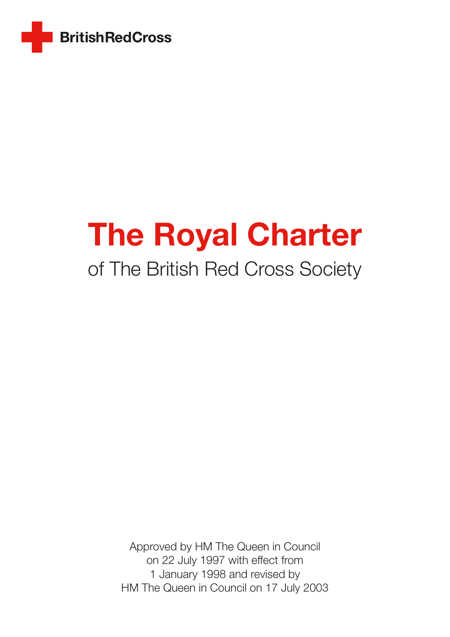

# The Royal Charter

# of The British Red Cross Society

Approved by HM The Queen in Council on 22 July 1997 with effect from 1 January 1998 and revised by HM The Queen in Council on 17 July 2003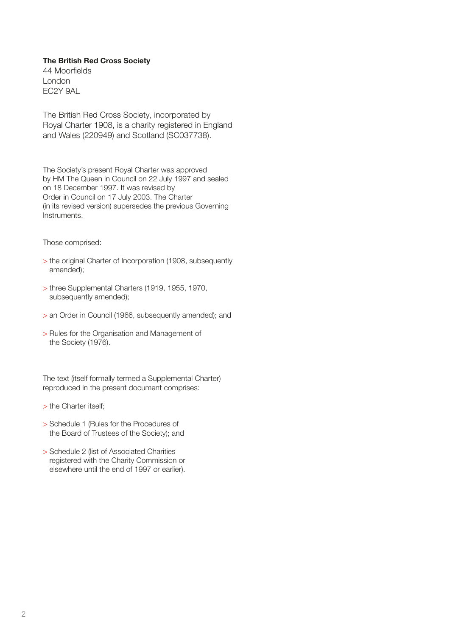#### The British Red Cross Society

44 Moorfields London EC2Y 9AL

The British Red Cross Society, incorporated by Royal Charter 1908, is a charity registered in England and Wales (220949) and Scotland (SC037738).

The Society's present Royal Charter was approved by HM The Queen in Council on 22 July 1997 and sealed on 18 December 1997. It was revised by Order in Council on 17 July 2003. The Charter (in its revised version) supersedes the previous Governing Instruments.

Those comprised:

- > the original Charter of Incorporation (1908, subsequently amended);
- > three Supplemental Charters (1919, 1955, 1970, subsequently amended);
- > an Order in Council (1966, subsequently amended); and
- > Rules for the Organisation and Management of the Society (1976).

The text (itself formally termed a Supplemental Charter) reproduced in the present document comprises:

- > the Charter itself;
- > Schedule 1 (Rules for the Procedures of the Board of Trustees of the Society); and
- > Schedule 2 (list of Associated Charities registered with the Charity Commission or elsewhere until the end of 1997 or earlier).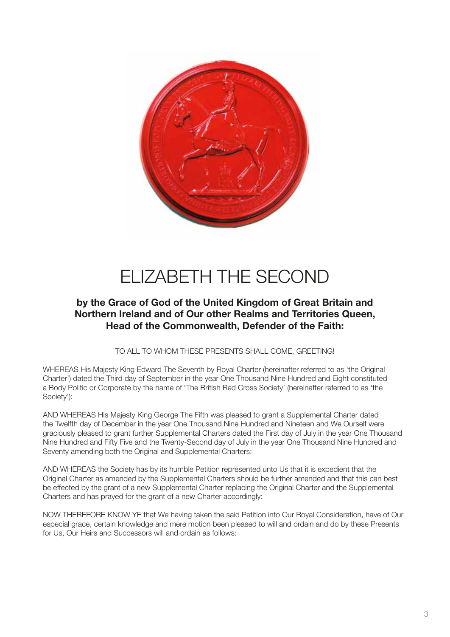

# ELIZABETH THE SECOND

### by the Grace of God of the United Kingdom of Great Britain and Northern Ireland and of Our other Realms and Territories Queen, Head of the Commonwealth, Defender of the Faith:

TO ALL TO WHOM THESE PRESENTS SHALL COME, GREETING!

WHEREAS His Majesty King Edward The Seventh by Royal Charter (hereinafter referred to as 'the Original Charter') dated the Third day of September in the year One Thousand Nine Hundred and Eight constituted a Body Politic or Corporate by the name of 'The British Red Cross Society' (hereinafter referred to as 'the Society'):

AND WHEREAS His Majesty King George The Fifth was pleased to grant a Supplemental Charter dated the Twelfth day of December in the year One Thousand Nine Hundred and Nineteen and We Ourself were graciously pleased to grant further Supplemental Charters dated the First day of July in the year One Thousand Nine Hundred and Fifty Five and the Twenty-Second day of July in the year One Thousand Nine Hundred and Seventy amending both the Original and Supplemental Charters:

AND WHEREAS the Society has by its humble Petition represented unto Us that it is expedient that the Original Charter as amended by the Supplemental Charters should be further amended and that this can best be effected by the grant of a new Supplemental Charter replacing the Original Charter and the Supplemental Charters and has prayed for the grant of a new Charter accordingly:

NOW THEREFORE KNOW YE that We having taken the said Petition into Our Royal Consideration, have of Our especial grace, certain knowledge and mere motion been pleased to will and ordain and do by these Presents for Us, Our Heirs and Successors will and ordain as follows: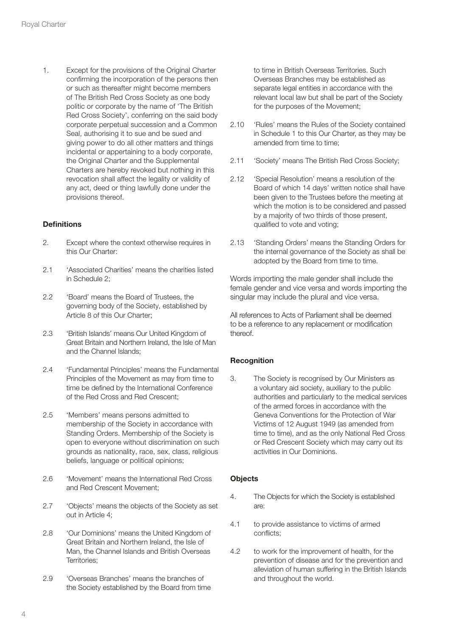1. Except for the provisions of the Original Charter confirming the incorporation of the persons then or such as thereafter might become members of The British Red Cross Society as one body politic or corporate by the name of 'The British Red Cross Society', conferring on the said body corporate perpetual succession and a Common Seal, authorising it to sue and be sued and giving power to do all other matters and things incidental or appertaining to a body corporate, the Original Charter and the Supplemental Charters are hereby revoked but nothing in this revocation shall affect the legality or validity of any act, deed or thing lawfully done under the provisions thereof.

#### **Definitions**

- 2. Except where the context otherwise requires in this Our Charter:
- 2.1 'Associated Charities' means the charities listed in Schedule 2;
- 2.2 'Board' means the Board of Trustees, the governing body of the Society, established by Article 8 of this Our Charter;
- 2.3 'British Islands' means Our United Kingdom of Great Britain and Northern Ireland, the Isle of Man and the Channel Islands;
- 2.4 **'Fundamental Principles' means the Fundamental** Principles of the Movement as may from time to time be defined by the International Conference of the Red Cross and Red Crescent;
- 2.5 'Members' means persons admitted to membership of the Society in accordance with Standing Orders. Membership of the Society is open to everyone without discrimination on such grounds as nationality, race, sex, class, religious beliefs, language or political opinions;
- 2.6 'Movement' means the International Red Cross and Red Crescent Movement;
- 2.7 'Objects' means the objects of the Society as set out in Article 4;
- 2.8 'Our Dominions' means the United Kingdom of Great Britain and Northern Ireland, the Isle of Man, the Channel Islands and British Overseas Territories;
- 2.9 'Overseas Branches' means the branches of the Society established by the Board from time

to time in British Overseas Territories. Such Overseas Branches may be established as separate legal entities in accordance with the relevant local law but shall be part of the Society for the purposes of the Movement;

- 2.10 'Rules' means the Rules of the Society contained in Schedule 1 to this Our Charter, as they may be amended from time to time;
- 2.11 'Society' means The British Red Cross Society;
- 2.12 'Special Resolution' means a resolution of the Board of which 14 days' written notice shall have been given to the Trustees before the meeting at which the motion is to be considered and passed by a majority of two thirds of those present, qualified to vote and voting;
- 2.13 'Standing Orders' means the Standing Orders for the internal governance of the Society as shall be adopted by the Board from time to time.

Words importing the male gender shall include the female gender and vice versa and words importing the singular may include the plural and vice versa.

All references to Acts of Parliament shall be deemed to be a reference to any replacement or modification thereof.

#### **Recognition**

3. The Society is recognised by Our Ministers as a voluntary aid society, auxiliary to the public authorities and particularly to the medical services of the armed forces in accordance with the Geneva Conventions for the Protection of War Victims of 12 August 1949 (as amended from time to time), and as the only National Red Cross or Red Crescent Society which may carry out its activities in Our Dominions.

#### **Objects**

- 4. The Objects for which the Society is established are:
- 4.1 to provide assistance to victims of armed conflicts;
- 4.2 to work for the improvement of health, for the prevention of disease and for the prevention and alleviation of human suffering in the British Islands and throughout the world.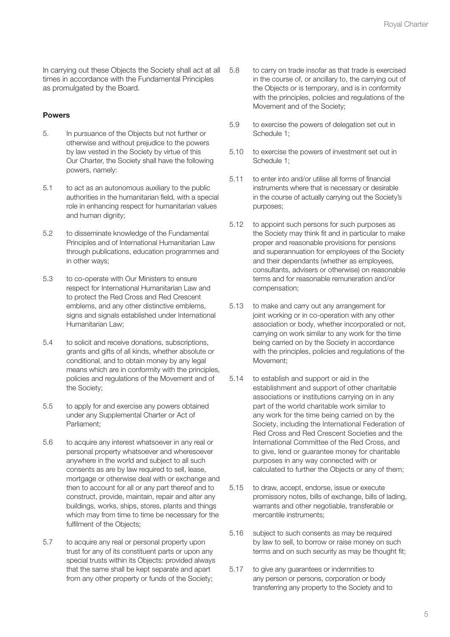In carrying out these Objects the Society shall act at all times in accordance with the Fundamental Principles as promulgated by the Board.

#### Powers

- 5. In pursuance of the Objects but not further or otherwise and without prejudice to the powers by law vested in the Society by virtue of this Our Charter, the Society shall have the following powers, namely:
- 5.1 to act as an autonomous auxiliary to the public authorities in the humanitarian field, with a special role in enhancing respect for humanitarian values and human dignity;
- 5.2 to disseminate knowledge of the Fundamental Principles and of International Humanitarian Law through publications, education programmes and in other ways;
- 5.3 to co-operate with Our Ministers to ensure respect for International Humanitarian Law and to protect the Red Cross and Red Crescent emblems, and any other distinctive emblems, signs and signals established under International Humanitarian Law;
- 5.4 to solicit and receive donations, subscriptions, grants and gifts of all kinds, whether absolute or conditional, and to obtain money by any legal means which are in conformity with the principles, policies and regulations of the Movement and of the Society;
- 5.5 to apply for and exercise any powers obtained under any Supplemental Charter or Act of Parliament;
- 5.6 to acquire any interest whatsoever in any real or personal property whatsoever and wheresoever anywhere in the world and subject to all such consents as are by law required to sell, lease, mortgage or otherwise deal with or exchange and then to account for all or any part thereof and to construct, provide, maintain, repair and alter any buildings, works, ships, stores, plants and things which may from time to time be necessary for the fulfilment of the Objects;
- 5.7 to acquire any real or personal property upon trust for any of its constituent parts or upon any special trusts within its Objects: provided always that the same shall be kept separate and apart from any other property or funds of the Society;
- 5.8 to carry on trade insofar as that trade is exercised in the course of, or ancillary to, the carrying out of the Objects or is temporary, and is in conformity with the principles, policies and regulations of the Movement and of the Society;
- 5.9 to exercise the powers of delegation set out in Schedule 1;
- 5.10 to exercise the powers of investment set out in Schedule 1;
- 5.11 to enter into and/or utilise all forms of financial instruments where that is necessary or desirable in the course of actually carrying out the Society's purposes;
- 5.12 to appoint such persons for such purposes as the Society may think fit and in particular to make proper and reasonable provisions for pensions and superannuation for employees of the Society and their dependants (whether as employees, consultants, advisers or otherwise) on reasonable terms and for reasonable remuneration and/or compensation;
- 5.13 to make and carry out any arrangement for joint working or in co-operation with any other association or body, whether incorporated or not, carrying on work similar to any work for the time being carried on by the Society in accordance with the principles, policies and regulations of the Movement;
- 5.14 to establish and support or aid in the establishment and support of other charitable associations or institutions carrying on in any part of the world charitable work similar to any work for the time being carried on by the Society, including the International Federation of Red Cross and Red Crescent Societies and the International Committee of the Red Cross, and to give, lend or guarantee money for charitable purposes in any way connected with or calculated to further the Objects or any of them;
- 5.15 to draw, accept, endorse, issue or execute promissory notes, bills of exchange, bills of lading, warrants and other negotiable, transferable or mercantile instruments;
- 5.16 subject to such consents as may be required by law to sell, to borrow or raise money on such terms and on such security as may be thought fit;
- 5.17 to give any guarantees or indemnities to any person or persons, corporation or body transferring any property to the Society and to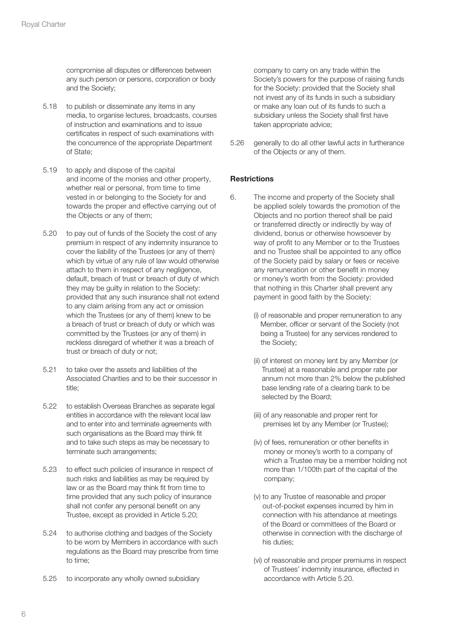compromise all disputes or differences between any such person or persons, corporation or body and the Society;

- 5.18 to publish or disseminate any items in any media, to organise lectures, broadcasts, courses of instruction and examinations and to issue certificates in respect of such examinations with the concurrence of the appropriate Department of State;
- 5.19 to apply and dispose of the capital and income of the monies and other property, whether real or personal, from time to time vested in or belonging to the Society for and towards the proper and effective carrying out of the Objects or any of them;
- 5.20 to pay out of funds of the Society the cost of any premium in respect of any indemnity insurance to cover the liability of the Trustees (or any of them) which by virtue of any rule of law would otherwise attach to them in respect of any negligence, default, breach of trust or breach of duty of which they may be guilty in relation to the Society: provided that any such insurance shall not extend to any claim arising from any act or omission which the Trustees (or any of them) knew to be a breach of trust or breach of duty or which was committed by the Trustees (or any of them) in reckless disregard of whether it was a breach of trust or breach of duty or not;
- 5.21 to take over the assets and liabilities of the Associated Charities and to be their successor in title;
- 5.22 to establish Overseas Branches as separate legal entities in accordance with the relevant local law and to enter into and terminate agreements with such organisations as the Board may think fit and to take such steps as may be necessary to terminate such arrangements;
- 5.23 to effect such policies of insurance in respect of such risks and liabilities as may be required by law or as the Board may think fit from time to time provided that any such policy of insurance shall not confer any personal benefit on any Trustee, except as provided in Article 5.20;
- 5.24 to authorise clothing and badges of the Society to be worn by Members in accordance with such regulations as the Board may prescribe from time to time;
- 5.25 to incorporate any wholly owned subsidiary

company to carry on any trade within the Society's powers for the purpose of raising funds for the Society: provided that the Society shall not invest any of its funds in such a subsidiary or make any loan out of its funds to such a subsidiary unless the Society shall first have taken appropriate advice;

5.26 generally to do all other lawful acts in furtherance of the Objects or any of them.

#### **Restrictions**

- 6. The income and property of the Society shall be applied solely towards the promotion of the Objects and no portion thereof shall be paid or transferred directly or indirectly by way of dividend, bonus or otherwise howsoever by way of profit to any Member or to the Trustees and no Trustee shall be appointed to any office of the Society paid by salary or fees or receive any remuneration or other benefit in money or money's worth from the Society: provided that nothing in this Charter shall prevent any payment in good faith by the Society:
	- (i) of reasonable and proper remuneration to any Member, officer or servant of the Society (not being a Trustee) for any services rendered to the Society;
	- (ii) of interest on money lent by any Member (or Trustee) at a reasonable and proper rate per annum not more than 2% below the published base lending rate of a clearing bank to be selected by the Board;
	- (iii) of any reasonable and proper rent for premises let by any Member (or Trustee);
	- (iv) of fees, remuneration or other benefits in money or money's worth to a company of which a Trustee may be a member holding not more than 1/100th part of the capital of the company;
	- (v) to any Trustee of reasonable and proper out-of-pocket expenses incurred by him in connection with his attendance at meetings of the Board or committees of the Board or otherwise in connection with the discharge of his duties;
	- (vi) of reasonable and proper premiums in respect of Trustees' indemnity insurance, effected in accordance with Article 5.20.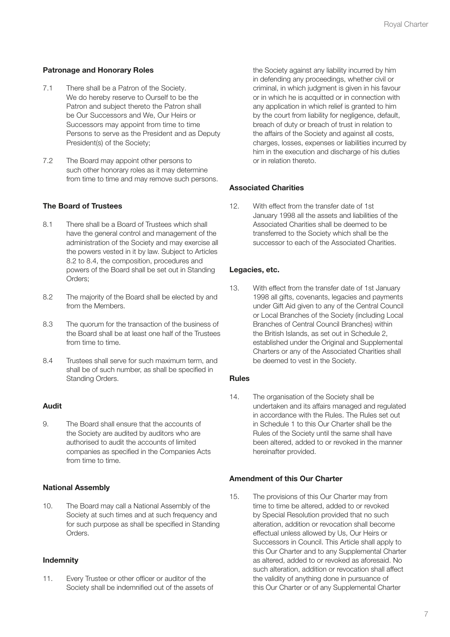#### Patronage and Honorary Roles

- 7.1 There shall be a Patron of the Society. We do hereby reserve to Ourself to be the Patron and subject thereto the Patron shall be Our Successors and We, Our Heirs or Successors may appoint from time to time Persons to serve as the President and as Deputy President(s) of the Society;
- 7.2 The Board may appoint other persons to such other honorary roles as it may determine from time to time and may remove such persons.

#### The Board of Trustees

- 8.1 There shall be a Board of Trustees which shall have the general control and management of the administration of the Society and may exercise all the powers vested in it by law. Subject to Articles 8.2 to 8.4, the composition, procedures and powers of the Board shall be set out in Standing Orders;
- 8.2 The majority of the Board shall be elected by and from the Members.
- 8.3 The quorum for the transaction of the business of the Board shall be at least one half of the Trustees from time to time.
- 8.4 Trustees shall serve for such maximum term, and shall be of such number, as shall be specified in Standing Orders.

#### Audit

9. The Board shall ensure that the accounts of the Society are audited by auditors who are authorised to audit the accounts of limited companies as specified in the Companies Acts from time to time.

#### National Assembly

10. The Board may call a National Assembly of the Society at such times and at such frequency and for such purpose as shall be specified in Standing Orders.

#### Indemnity

11. Every Trustee or other officer or auditor of the Society shall be indemnified out of the assets of

the Society against any liability incurred by him in defending any proceedings, whether civil or criminal, in which judgment is given in his favour or in which he is acquitted or in connection with any application in which relief is granted to him by the court from liability for negligence, default, breach of duty or breach of trust in relation to the affairs of the Society and against all costs, charges, losses, expenses or liabilities incurred by him in the execution and discharge of his duties or in relation thereto.

#### Associated Charities

12. With effect from the transfer date of 1st January 1998 all the assets and liabilities of the Associated Charities shall be deemed to be transferred to the Society which shall be the successor to each of the Associated Charities.

#### Legacies, etc.

13. With effect from the transfer date of 1st January 1998 all gifts, covenants, legacies and payments under Gift Aid given to any of the Central Council or Local Branches of the Society (including Local Branches of Central Council Branches) within the British Islands, as set out in Schedule 2, established under the Original and Supplemental Charters or any of the Associated Charities shall be deemed to vest in the Society.

#### Rules

14. The organisation of the Society shall be undertaken and its affairs managed and regulated in accordance with the Rules. The Rules set out in Schedule 1 to this Our Charter shall be the Rules of the Society until the same shall have been altered, added to or revoked in the manner hereinafter provided.

#### Amendment of this Our Charter

15. The provisions of this Our Charter may from time to time be altered, added to or revoked by Special Resolution provided that no such alteration, addition or revocation shall become effectual unless allowed by Us, Our Heirs or Successors in Council. This Article shall apply to this Our Charter and to any Supplemental Charter as altered, added to or revoked as aforesaid. No such alteration, addition or revocation shall affect the validity of anything done in pursuance of this Our Charter or of any Supplemental Charter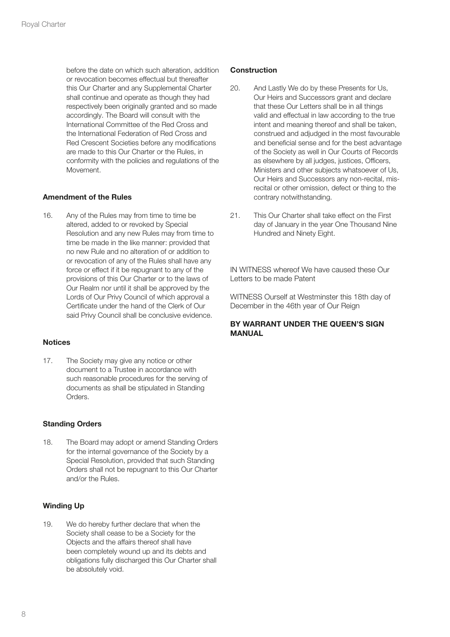before the date on which such alteration, addition or revocation becomes effectual but thereafter this Our Charter and any Supplemental Charter shall continue and operate as though they had respectively been originally granted and so made accordingly. The Board will consult with the International Committee of the Red Cross and the International Federation of Red Cross and Red Crescent Societies before any modifications are made to this Our Charter or the Rules, in conformity with the policies and regulations of the Movement.

#### Amendment of the Rules

16. Any of the Rules may from time to time be altered, added to or revoked by Special Resolution and any new Rules may from time to time be made in the like manner: provided that no new Rule and no alteration of or addition to or revocation of any of the Rules shall have any force or effect if it be repugnant to any of the provisions of this Our Charter or to the laws of Our Realm nor until it shall be approved by the Lords of Our Privy Council of which approval a Certificate under the hand of the Clerk of Our said Privy Council shall be conclusive evidence.

#### **Notices**

17. The Society may give any notice or other document to a Trustee in accordance with such reasonable procedures for the serving of documents as shall be stipulated in Standing Orders.

#### Standing Orders

18. The Board may adopt or amend Standing Orders for the internal governance of the Society by a Special Resolution, provided that such Standing Orders shall not be repugnant to this Our Charter and/or the Rules.

#### Winding Up

19. We do hereby further declare that when the Society shall cease to be a Society for the Objects and the affairs thereof shall have been completely wound up and its debts and obligations fully discharged this Our Charter shall be absolutely void.

#### **Construction**

- 20. And Lastly We do by these Presents for Us, Our Heirs and Successors grant and declare that these Our Letters shall be in all things valid and effectual in law according to the true intent and meaning thereof and shall be taken, construed and adjudged in the most favourable and beneficial sense and for the best advantage of the Society as well in Our Courts of Records as elsewhere by all judges, justices, Officers, Ministers and other subjects whatsoever of Us, Our Heirs and Successors any non-recital, misrecital or other omission, defect or thing to the contrary notwithstanding.
- 21. This Our Charter shall take effect on the First day of January in the year One Thousand Nine Hundred and Ninety Eight.

IN WITNESS whereof We have caused these Our Letters to be made Patent

WITNESS Ourself at Westminster this 18th day of December in the 46th year of Our Reign

#### BY WARRANT UNDER THE QUEEN'S SIGN MANUAL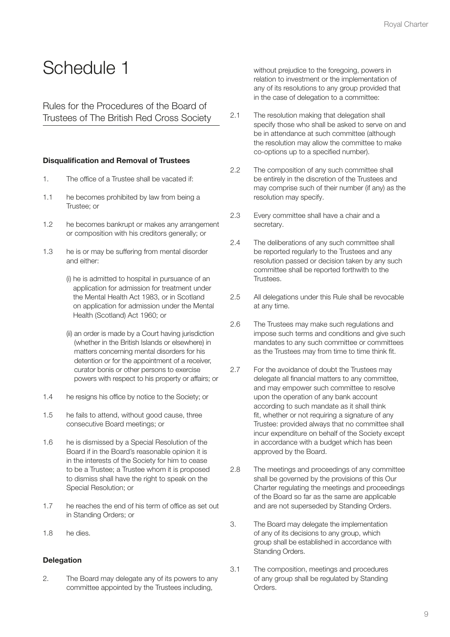## Schedule 1

Rules for the Procedures of the Board of Trustees of The British Red Cross Society

#### Disqualification and Removal of Trustees

- 1. The office of a Trustee shall be vacated if:
- 1.1 he becomes prohibited by law from being a Trustee; or
- 1.2 he becomes bankrupt or makes any arrangement or composition with his creditors generally; or
- 1.3 he is or may be suffering from mental disorder and either:
	- (i) he is admitted to hospital in pursuance of an application for admission for treatment under the Mental Health Act 1983, or in Scotland on application for admission under the Mental Health (Scotland) Act 1960; or
	- (ii) an order is made by a Court having jurisdiction (whether in the British Islands or elsewhere) in matters concerning mental disorders for his detention or for the appointment of a receiver, curator bonis or other persons to exercise powers with respect to his property or affairs; or
- 1.4 he resigns his office by notice to the Society; or
- 1.5 he fails to attend, without good cause, three consecutive Board meetings; or
- 1.6 he is dismissed by a Special Resolution of the Board if in the Board's reasonable opinion it is in the interests of the Society for him to cease to be a Trustee; a Trustee whom it is proposed to dismiss shall have the right to speak on the Special Resolution; or
- 1.7 he reaches the end of his term of office as set out in Standing Orders; or
- 1.8 he dies.

#### **Delegation**

2. The Board may delegate any of its powers to any committee appointed by the Trustees including,

without prejudice to the foregoing, powers in relation to investment or the implementation of any of its resolutions to any group provided that in the case of delegation to a committee:

- 2.1 The resolution making that delegation shall specify those who shall be asked to serve on and be in attendance at such committee (although the resolution may allow the committee to make co-options up to a specified number).
- 2.2 The composition of any such committee shall be entirely in the discretion of the Trustees and may comprise such of their number (if any) as the resolution may specify.
- 2.3 Every committee shall have a chair and a secretary.
- 2.4 The deliberations of any such committee shall be reported regularly to the Trustees and any resolution passed or decision taken by any such committee shall be reported forthwith to the **Trustees**
- 2.5 All delegations under this Rule shall be revocable at any time.
- 2.6 The Trustees may make such regulations and impose such terms and conditions and give such mandates to any such committee or committees as the Trustees may from time to time think fit.
- 2.7 For the avoidance of doubt the Trustees may delegate all financial matters to any committee, and may empower such committee to resolve upon the operation of any bank account according to such mandate as it shall think fit, whether or not requiring a signature of any Trustee: provided always that no committee shall incur expenditure on behalf of the Society except in accordance with a budget which has been approved by the Board.
- 2.8 The meetings and proceedings of any committee shall be governed by the provisions of this Our Charter regulating the meetings and proceedings of the Board so far as the same are applicable and are not superseded by Standing Orders.
- 3. The Board may delegate the implementation of any of its decisions to any group, which group shall be established in accordance with Standing Orders.
- 3.1 The composition, meetings and procedures of any group shall be regulated by Standing Orders.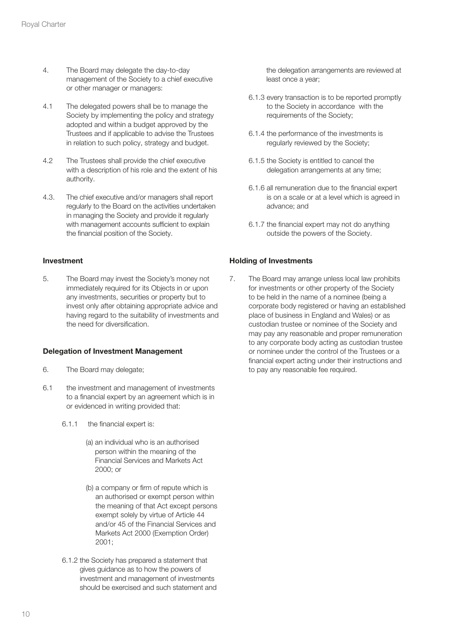- 4. The Board may delegate the day-to-day management of the Society to a chief executive or other manager or managers:
- 4.1 The delegated powers shall be to manage the Society by implementing the policy and strategy adopted and within a budget approved by the Trustees and if applicable to advise the Trustees in relation to such policy, strategy and budget.
- 4.2 The Trustees shall provide the chief executive with a description of his role and the extent of his authority.
- 4.3. The chief executive and/or managers shall report regularly to the Board on the activities undertaken in managing the Society and provide it regularly with management accounts sufficient to explain the financial position of the Society.

#### Investment

5. The Board may invest the Society's money not immediately required for its Objects in or upon any investments, securities or property but to invest only after obtaining appropriate advice and having regard to the suitability of investments and the need for diversification.

#### Delegation of Investment Management

- 6. The Board may delegate;
- 6.1 the investment and management of investments to a financial expert by an agreement which is in or evidenced in writing provided that:
	- 6.1.1 the financial expert is:
		- (a) an individual who is an authorised person within the meaning of the Financial Services and Markets Act 2000; or
		- (b) a company or firm of repute which is an authorised or exempt person within the meaning of that Act except persons exempt solely by virtue of Article 44 and/or 45 of the Financial Services and Markets Act 2000 (Exemption Order) 2001;
	- 6.1.2 the Society has prepared a statement that gives guidance as to how the powers of investment and management of investments should be exercised and such statement and

the delegation arrangements are reviewed at least once a year;

- 6.1.3 every transaction is to be reported promptly to the Society in accordance with the requirements of the Society;
- 6.1.4 the performance of the investments is regularly reviewed by the Society;
- 6.1.5 the Society is entitled to cancel the delegation arrangements at any time;
- 6.1.6 all remuneration due to the financial expert is on a scale or at a level which is agreed in advance; and
- 6.1.7 the financial expert may not do anything outside the powers of the Society.

#### Holding of Investments

7. The Board may arrange unless local law prohibits for investments or other property of the Society to be held in the name of a nominee (being a corporate body registered or having an established place of business in England and Wales) or as custodian trustee or nominee of the Society and may pay any reasonable and proper remuneration to any corporate body acting as custodian trustee or nominee under the control of the Trustees or a financial expert acting under their instructions and to pay any reasonable fee required.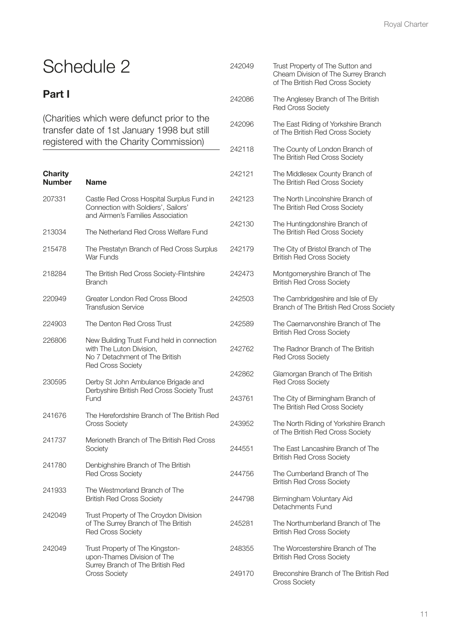# Schedule 2

### Part I

(Charities which were defunct prior to the transfer date of 1st January 1998 but still registered with the Charity Commission)

| <b>Charity</b><br><b>Number</b> | <b>Name</b>                                                                                                                          | $\mathbf{2}$                 |
|---------------------------------|--------------------------------------------------------------------------------------------------------------------------------------|------------------------------|
| 207331                          | Castle Red Cross Hospital Surplus Fund in<br>Connection with Soldiers', Sailors'<br>and Airmen's Families Association                | $\mathbf{2}$                 |
| 213034                          | The Netherland Red Cross Welfare Fund                                                                                                | $\mathbf{2}$                 |
| 215478                          | The Prestatyn Branch of Red Cross Surplus<br>War Funds                                                                               | $\overline{2}$               |
| 218284                          | The British Red Cross Society-Flintshire<br><b>Branch</b>                                                                            | $\mathbf{2}$                 |
| 220949                          | Greater London Red Cross Blood<br><b>Transfusion Service</b>                                                                         | $\mathbf{2}$                 |
| 224903                          | The Denton Red Cross Trust                                                                                                           | $\mathbf{2}$                 |
| 226806                          | New Building Trust Fund held in connection<br>with The Luton Division,<br>No 7 Detachment of The British<br><b>Red Cross Society</b> | $\overline{c}$               |
| 230595                          | Derby St John Ambulance Brigade and<br>Derbyshire British Red Cross Society Trust<br>Fund                                            | $\mathbf{2}$<br>$\mathbf{2}$ |
| 241676                          | The Herefordshire Branch of The British Red<br><b>Cross Society</b>                                                                  | $\mathbf{2}$                 |
| 241737                          | Merioneth Branch of The British Red Cross<br>Society                                                                                 | $\overline{2}$               |
| 241780                          | Denbighshire Branch of The British<br><b>Red Cross Society</b>                                                                       | $\overline{c}$               |
| 241933                          | The Westmorland Branch of The<br><b>British Red Cross Society</b>                                                                    | $\mathbf{2}$                 |
| 242049                          | Trust Property of The Croydon Division<br>of The Surrey Branch of The British<br><b>Red Cross Society</b>                            | 2                            |
| 242049                          | Trust Property of The Kingston-<br>upon-Thames Division of The<br>Surrey Branch of The British Red<br><b>Cross Society</b>           | 2<br>2                       |

| 242049 | Trust Property of The Sutton and<br>Cheam Division of The Surrey Branch<br>of The British Red Cross Society |
|--------|-------------------------------------------------------------------------------------------------------------|
| 242086 | The Anglesey Branch of The British<br><b>Red Cross Society</b>                                              |
| 242096 | The East Riding of Yorkshire Branch<br>of The British Red Cross Society                                     |
| 242118 | The County of London Branch of<br>The British Red Cross Society                                             |
| 242121 | The Middlesex County Branch of<br>The British Red Cross Society                                             |
| 242123 | The North Lincolnshire Branch of<br>The British Red Cross Society                                           |
| 242130 | The Huntingdonshire Branch of<br>The British Red Cross Society                                              |
| 242179 | The City of Bristol Branch of The<br><b>British Red Cross Society</b>                                       |
| 242473 | Montgomeryshire Branch of The<br><b>British Red Cross Society</b>                                           |
| 242503 | The Cambridgeshire and Isle of Ely<br>Branch of The British Red Cross Society                               |
| 242589 | The Caernarvonshire Branch of The<br><b>British Red Cross Society</b>                                       |
| 242762 | The Radnor Branch of The British<br><b>Red Cross Society</b>                                                |
| 242862 | Glamorgan Branch of The British<br><b>Red Cross Society</b>                                                 |
| 243761 | The City of Birmingham Branch of<br>The British Red Cross Society                                           |
| 243952 | The North Riding of Yorkshire Branch<br>of The British Red Cross Society                                    |
| 244551 | The East Lancashire Branch of The<br><b>British Red Cross Society</b>                                       |
| 244756 | The Cumberland Branch of The<br><b>British Red Cross Society</b>                                            |
| 244798 | Birmingham Voluntary Aid<br>Detachments Fund                                                                |
| 245281 | The Northumberland Branch of The<br><b>British Red Cross Society</b>                                        |
| 248355 | The Worcestershire Branch of The<br><b>British Red Cross Society</b>                                        |
| 249170 | Breconshire Branch of The British Red<br><b>Cross Society</b>                                               |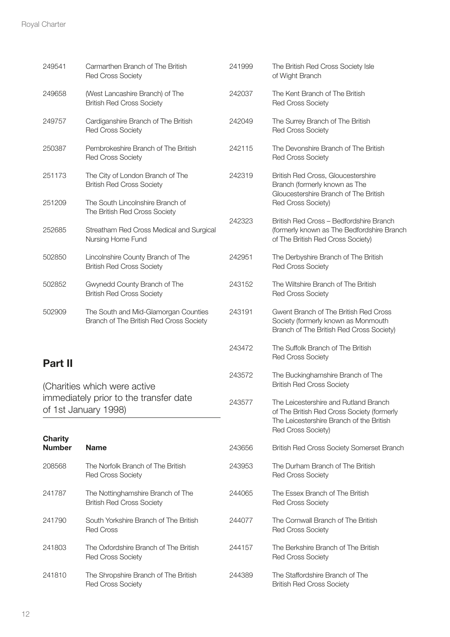| 249541                                                                         | Carmarthen Branch of The British<br><b>Red Cross Society</b>                    | 241999 | The British Red Cross Society Isle<br>of Wight Branch                                                                                                 |
|--------------------------------------------------------------------------------|---------------------------------------------------------------------------------|--------|-------------------------------------------------------------------------------------------------------------------------------------------------------|
| 249658                                                                         | (West Lancashire Branch) of The<br><b>British Red Cross Society</b>             | 242037 | The Kent Branch of The British<br><b>Red Cross Society</b>                                                                                            |
| 249757                                                                         | Cardiganshire Branch of The British<br><b>Red Cross Society</b>                 | 242049 | The Surrey Branch of The British<br><b>Red Cross Society</b>                                                                                          |
| 250387                                                                         | Pembrokeshire Branch of The British<br>Red Cross Society                        | 242115 | The Devonshire Branch of The British<br><b>Red Cross Society</b>                                                                                      |
| 251173<br>The City of London Branch of The<br><b>British Red Cross Society</b> |                                                                                 | 242319 | British Red Cross, Gloucestershire<br>Branch (formerly known as The<br>Gloucestershire Branch of The British<br>Red Cross Society)                    |
| 251209                                                                         | The South Lincolnshire Branch of<br>The British Red Cross Society               |        |                                                                                                                                                       |
| 252685                                                                         | Streatham Red Cross Medical and Surgical<br>Nursing Home Fund                   |        | British Red Cross - Bedfordshire Branch<br>(formerly known as The Bedfordshire Branch<br>of The British Red Cross Society)                            |
| 502850                                                                         | Lincolnshire County Branch of The<br><b>British Red Cross Society</b>           | 242951 | The Derbyshire Branch of The British<br><b>Red Cross Society</b>                                                                                      |
| 502852                                                                         | Gwynedd County Branch of The<br><b>British Red Cross Society</b>                | 243152 | The Wiltshire Branch of The British<br><b>Red Cross Society</b>                                                                                       |
| 502909                                                                         | The South and Mid-Glamorgan Counties<br>Branch of The British Red Cross Society | 243191 | Gwent Branch of The British Red Cross<br>Society (formerly known as Monmouth<br>Branch of The British Red Cross Society)                              |
| <b>Part II</b>                                                                 |                                                                                 | 243472 | The Suffolk Branch of The British<br><b>Red Cross Society</b>                                                                                         |
|                                                                                | (Charities which were active                                                    | 243572 | The Buckinghamshire Branch of The<br><b>British Red Cross Society</b>                                                                                 |
| immediately prior to the transfer date<br>of 1st January 1998)                 |                                                                                 | 243577 | The Leicestershire and Rutland Branch<br>of The British Red Cross Society (formerly<br>The Leicestershire Branch of the British<br>Red Cross Society) |
| <b>Charity</b><br><b>Number</b>                                                | <b>Name</b>                                                                     | 243656 | British Red Cross Society Somerset Branch                                                                                                             |
| 208568                                                                         | The Norfolk Branch of The British<br><b>Red Cross Society</b>                   | 243953 | The Durham Branch of The British<br><b>Red Cross Society</b>                                                                                          |
| 241787                                                                         | The Nottinghamshire Branch of The<br><b>British Red Cross Society</b>           | 244065 | The Essex Branch of The British<br><b>Red Cross Society</b>                                                                                           |
| 241790                                                                         | South Yorkshire Branch of The British<br><b>Red Cross</b>                       | 244077 | The Cornwall Branch of The British<br><b>Red Cross Society</b>                                                                                        |
| 241803                                                                         | The Oxfordshire Branch of The British<br><b>Red Cross Society</b>               | 244157 | The Berkshire Branch of The British<br><b>Red Cross Society</b>                                                                                       |
| 241810                                                                         | The Shropshire Branch of The British                                            | 244389 | The Staffordshire Branch of The                                                                                                                       |

British Red Cross Society

Red Cross Society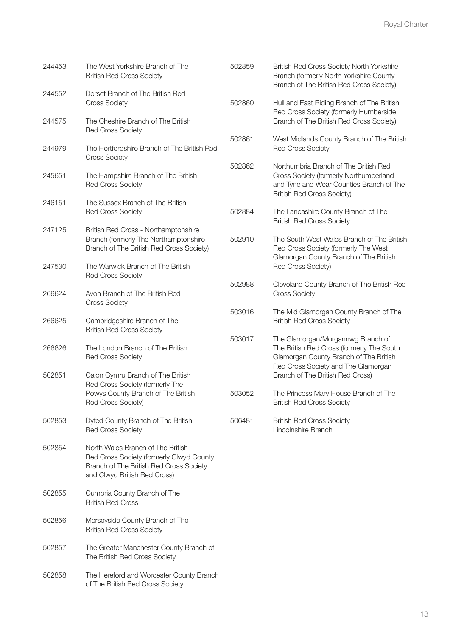| 244453 | The West Yorkshire Branch of The<br><b>British Red Cross Society</b>                                                                                     | 502859 | British Red Cross Society North Yorkshire<br>Branch (formerly North Yorkshire County<br>Branch of The British Red Cross Society)                                 |  |
|--------|----------------------------------------------------------------------------------------------------------------------------------------------------------|--------|------------------------------------------------------------------------------------------------------------------------------------------------------------------|--|
| 244552 | Dorset Branch of The British Red<br><b>Cross Society</b>                                                                                                 | 502860 | Hull and East Riding Branch of The British<br>Red Cross Society (formerly Humberside                                                                             |  |
| 244575 | The Cheshire Branch of The British<br><b>Red Cross Society</b>                                                                                           |        | Branch of The British Red Cross Society)                                                                                                                         |  |
| 244979 | The Hertfordshire Branch of The British Red<br><b>Cross Society</b>                                                                                      | 502861 | West Midlands County Branch of The British<br><b>Red Cross Society</b>                                                                                           |  |
| 245651 | The Hampshire Branch of The British<br><b>Red Cross Society</b>                                                                                          | 502862 | Northumbria Branch of The British Red<br>Cross Society (formerly Northumberland<br>and Tyne and Wear Counties Branch of The<br><b>British Red Cross Society)</b> |  |
| 246151 | The Sussex Branch of The British<br><b>Red Cross Society</b>                                                                                             | 502884 | The Lancashire County Branch of The<br><b>British Red Cross Society</b>                                                                                          |  |
| 247125 | British Red Cross - Northamptonshire<br>Branch (formerly The Northamptonshire<br>Branch of The British Red Cross Society)                                | 502910 | The South West Wales Branch of The British<br>Red Cross Society (formerly The West                                                                               |  |
| 247530 | The Warwick Branch of The British<br><b>Red Cross Society</b>                                                                                            |        | Glamorgan County Branch of The British<br>Red Cross Society)                                                                                                     |  |
| 266624 | Avon Branch of The British Red<br><b>Cross Society</b>                                                                                                   | 502988 | Cleveland County Branch of The British Red<br><b>Cross Society</b>                                                                                               |  |
| 266625 | Cambridgeshire Branch of The<br><b>British Red Cross Society</b>                                                                                         | 503016 | The Mid Glamorgan County Branch of The<br><b>British Red Cross Society</b>                                                                                       |  |
| 266626 | The London Branch of The British<br><b>Red Cross Society</b>                                                                                             | 503017 | The Glamorgan/Morgannwg Branch of<br>The British Red Cross (formerly The South<br>Glamorgan County Branch of The British                                         |  |
| 502851 | Calon Cymru Branch of The British<br>Red Cross Society (formerly The                                                                                     |        | Red Cross Society and The Glamorgan<br>Branch of The British Red Cross)                                                                                          |  |
|        | Powys County Branch of The British<br>Red Cross Society)                                                                                                 | 503052 | The Princess Mary House Branch of The<br><b>British Red Cross Society</b>                                                                                        |  |
| 502853 | Dyfed County Branch of The British<br><b>Red Cross Society</b>                                                                                           | 506481 | <b>British Red Cross Society</b><br>Lincolnshire Branch                                                                                                          |  |
| 502854 | North Wales Branch of The British<br>Red Cross Society (formerly Clwyd County<br>Branch of The British Red Cross Society<br>and Clwyd British Red Cross) |        |                                                                                                                                                                  |  |
| 502855 | Cumbria County Branch of The<br><b>British Red Cross</b>                                                                                                 |        |                                                                                                                                                                  |  |
| 502856 | Merseyside County Branch of The<br><b>British Red Cross Society</b>                                                                                      |        |                                                                                                                                                                  |  |
| 502857 | The Greater Manchester County Branch of<br>The British Red Cross Society                                                                                 |        |                                                                                                                                                                  |  |
| 502858 | The Hereford and Worcester County Branch                                                                                                                 |        |                                                                                                                                                                  |  |

of The British Red Cross Society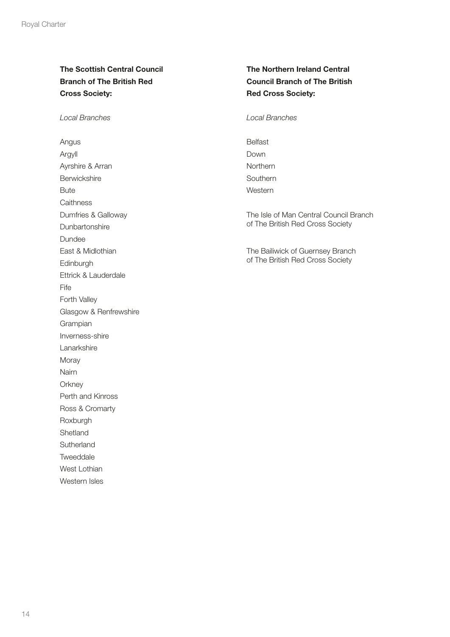### The Scottish Central Council Branch of The British Red Cross Society:

Local Branches

Angus Argyll Ayrshire & Arran Berwickshire Bute **Caithness** Dumfries & Galloway **Dunbartonshire** Dundee East & Midlothian **Edinburgh** Ettrick & Lauderdale Fife Forth Valley Glasgow & Renfrewshire Grampian Inverness-shire **Lanarkshire** Moray Nairn **Orkney** Perth and Kinross Ross & Cromarty Roxburgh Shetland Sutherland Tweeddale West Lothian Western Isles

### The Northern Ireland Central Council Branch of The British Red Cross Society:

Local Branches

Belfast Down Northern Southern Western

The Isle of Man Central Council Branch of The British Red Cross Society

The Bailiwick of Guernsey Branch of The British Red Cross Society